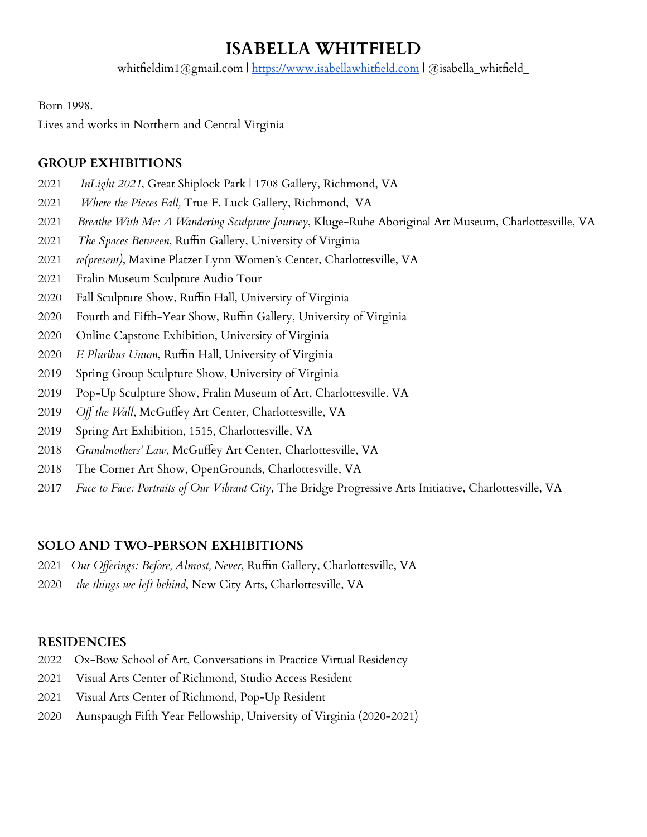# **ISABELLA WHITFIELD**

whitfieldim1@gmail.com | <https://www.isabellawhitfield.com> | @isabella\_whitfield\_

Born 1998.

Lives and works in Northern and Central Virginia

## **GROUP EXHIBITIONS**

- *InLight 2021*, Great Shiplock Park | 1708 Gallery, Richmond, VA
- *Where the Pieces Fall,* True F. Luck Gallery, Richmond, VA
- *Breathe With Me: A Wandering Sculpture Journey*, Kluge-Ruhe Aboriginal Art Museum, Charlottesville, VA
- *The Spaces Between*, Ruffin Gallery, University of Virginia
- *re(present)*, Maxine Platzer Lynn Women's Center, Charlottesville, VA
- Fralin Museum Sculpture Audio Tour
- Fall Sculpture Show, Ruffin Hall, University of Virginia
- Fourth and Fifth-Year Show, Ruffin Gallery, University of Virginia
- Online Capstone Exhibition, University of Virginia
- *E Pluribus Unum*, Ruffin Hall, University of Virginia
- Spring Group Sculpture Show, University of Virginia
- Pop-Up Sculpture Show, Fralin Museum of Art, Charlottesville. VA
- *Off the Wall*, McGuffey Art Center, Charlottesville, VA
- Spring Art Exhibition, 1515, Charlottesville, VA
- *Grandmothers' Law*, McGuffey Art Center, Charlottesville, VA
- The Corner Art Show, OpenGrounds, Charlottesville, VA
- *Face to Face: Portraits of Our Vibrant City*, The Bridge Progressive Arts Initiative, Charlottesville, VA

## **SOLO AND TWO-PERSON EXHIBITIONS**

- *Our Offerings: Before, Almost, Never*, Ruffin Gallery, Charlottesville, VA
- *the things we left behind*, New City Arts, Charlottesville, VA

## **RESIDENCIES**

- Ox-Bow School of Art, Conversations in Practice Virtual Residency
- Visual Arts Center of Richmond, Studio Access Resident
- Visual Arts Center of Richmond, Pop-Up Resident
- Aunspaugh Fifth Year Fellowship, University of Virginia (2020-2021)